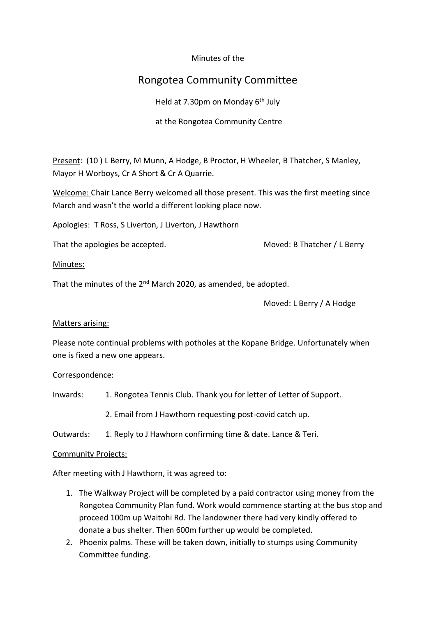### Minutes of the

# Rongotea Community Committee

Held at 7.30pm on Monday 6<sup>th</sup> July

### at the Rongotea Community Centre

Present: (10 ) L Berry, M Munn, A Hodge, B Proctor, H Wheeler, B Thatcher, S Manley, Mayor H Worboys, Cr A Short & Cr A Quarrie.

Welcome: Chair Lance Berry welcomed all those present. This was the first meeting since March and wasn't the world a different looking place now.

Apologies: T Ross, S Liverton, J Liverton, J Hawthorn

That the apologies be accepted. That the apologies be accepted.

#### Minutes:

That the minutes of the  $2^{nd}$  March 2020, as amended, be adopted.

Moved: L Berry / A Hodge

#### Matters arising:

Please note continual problems with potholes at the Kopane Bridge. Unfortunately when one is fixed a new one appears.

#### Correspondence:

Inwards: 1. Rongotea Tennis Club. Thank you for letter of Letter of Support.

2. Email from J Hawthorn requesting post-covid catch up.

Outwards: 1. Reply to J Hawhorn confirming time & date. Lance & Teri.

#### Community Projects:

After meeting with J Hawthorn, it was agreed to:

- 1. The Walkway Project will be completed by a paid contractor using money from the Rongotea Community Plan fund. Work would commence starting at the bus stop and proceed 100m up Waitohi Rd. The landowner there had very kindly offered to donate a bus shelter. Then 600m further up would be completed.
- 2. Phoenix palms. These will be taken down, initially to stumps using Community Committee funding.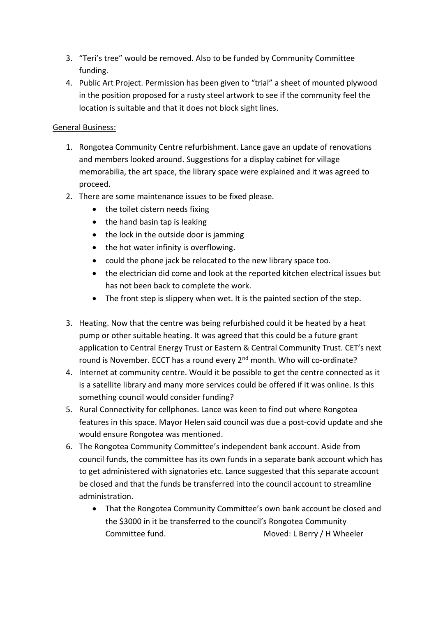- 3. "Teri's tree" would be removed. Also to be funded by Community Committee funding.
- 4. Public Art Project. Permission has been given to "trial" a sheet of mounted plywood in the position proposed for a rusty steel artwork to see if the community feel the location is suitable and that it does not block sight lines.

## General Business:

- 1. Rongotea Community Centre refurbishment. Lance gave an update of renovations and members looked around. Suggestions for a display cabinet for village memorabilia, the art space, the library space were explained and it was agreed to proceed.
- 2. There are some maintenance issues to be fixed please.
	- the toilet cistern needs fixing
	- the hand basin tap is leaking
	- the lock in the outside door is jamming
	- the hot water infinity is overflowing.
	- could the phone jack be relocated to the new library space too.
	- the electrician did come and look at the reported kitchen electrical issues but has not been back to complete the work.
	- The front step is slippery when wet. It is the painted section of the step.
- 3. Heating. Now that the centre was being refurbished could it be heated by a heat pump or other suitable heating. It was agreed that this could be a future grant application to Central Energy Trust or Eastern & Central Community Trust. CET's next round is November. ECCT has a round every 2<sup>nd</sup> month. Who will co-ordinate?
- 4. Internet at community centre. Would it be possible to get the centre connected as it is a satellite library and many more services could be offered if it was online. Is this something council would consider funding?
- 5. Rural Connectivity for cellphones. Lance was keen to find out where Rongotea features in this space. Mayor Helen said council was due a post-covid update and she would ensure Rongotea was mentioned.
- 6. The Rongotea Community Committee's independent bank account. Aside from council funds, the committee has its own funds in a separate bank account which has to get administered with signatories etc. Lance suggested that this separate account be closed and that the funds be transferred into the council account to streamline administration.
	- That the Rongotea Community Committee's own bank account be closed and the \$3000 in it be transferred to the council's Rongotea Community Committee fund. Moved: L Berry / H Wheeler